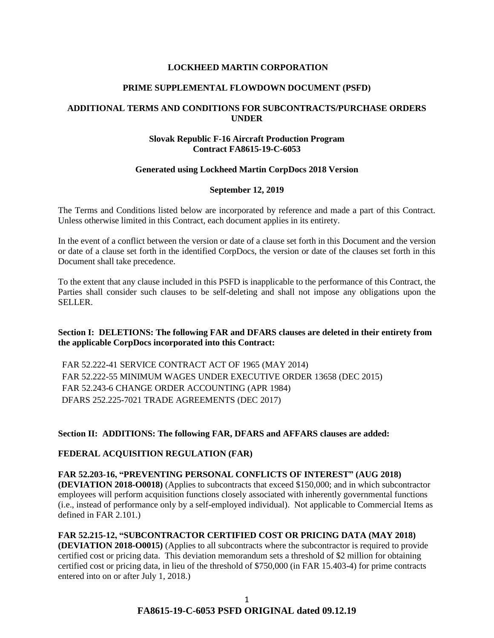### **LOCKHEED MARTIN CORPORATION**

#### **PRIME SUPPLEMENTAL FLOWDOWN DOCUMENT (PSFD)**

## **ADDITIONAL TERMS AND CONDITIONS FOR SUBCONTRACTS/PURCHASE ORDERS UNDER**

### **Slovak Republic F-16 Aircraft Production Program Contract FA8615-19-C-6053**

### **Generated using Lockheed Martin CorpDocs 2018 Version**

#### **September 12, 2019**

The Terms and Conditions listed below are incorporated by reference and made a part of this Contract. Unless otherwise limited in this Contract, each document applies in its entirety.

In the event of a conflict between the version or date of a clause set forth in this Document and the version or date of a clause set forth in the identified CorpDocs, the version or date of the clauses set forth in this Document shall take precedence.

To the extent that any clause included in this PSFD is inapplicable to the performance of this Contract, the Parties shall consider such clauses to be self-deleting and shall not impose any obligations upon the SELLER.

## **Section I: DELETIONS: The following FAR and DFARS clauses are deleted in their entirety from the applicable CorpDocs incorporated into this Contract:**

FAR 52.222-41 SERVICE CONTRACT ACT OF 1965 (MAY 2014) FAR 52.222-55 MINIMUM WAGES UNDER EXECUTIVE ORDER 13658 (DEC 2015) FAR 52.243-6 CHANGE ORDER ACCOUNTING (APR 1984) DFARS 252.225-7021 TRADE AGREEMENTS (DEC 2017)

**Section II: ADDITIONS: The following FAR, DFARS and AFFARS clauses are added:**

## **[FEDERAL ACQUISITION REGULATION \(](https://www.acquisition.gov/browsefar)FAR)**

## **FAR 52.203-16, "PREVENTING PERSONAL CONFLICTS OF INTEREST" (AUG 2018) (DEVIATION 2018-O0018)** (Applies to subcontracts that exceed \$150,000; and in which subcontractor employees will perform acquisition functions closely associated with inherently governmental functions (i.e., instead of performance only by a self-employed individual). Not applicable to Commercial Items as defined in FAR 2.101.)

**FAR 52.215-12, "SUBCONTRACTOR CERTIFIED COST OR PRICING DATA (MAY 2018) (DEVIATION 2018-O0015)** (Applies to all subcontracts where the subcontractor is required to provide certified cost or pricing data. This deviation memorandum sets a threshold of \$2 million for obtaining certified cost or pricing data, in lieu of the threshold of \$750,000 (in FAR 15.403-4) for prime contracts entered into on or after July 1, 2018.)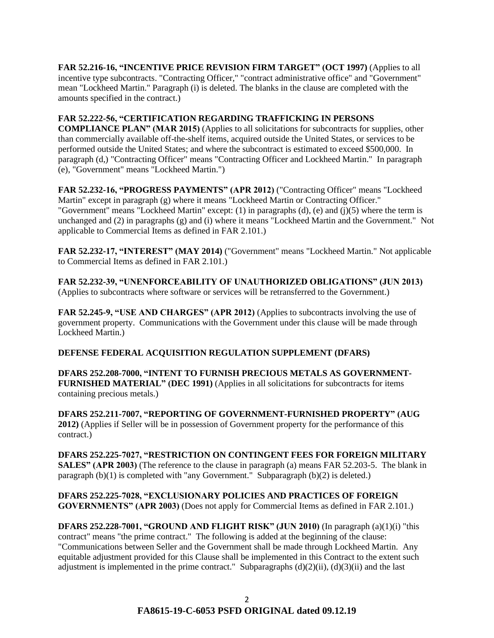**FAR 52.216-16, "INCENTIVE PRICE REVISION FIRM TARGET" (OCT 1997)** (Applies to all incentive type subcontracts. "Contracting Officer," "contract administrative office" and "Government" mean "Lockheed Martin." Paragraph (i) is deleted. The blanks in the clause are completed with the amounts specified in the contract.)

## **FAR 52.222-56, "CERTIFICATION REGARDING TRAFFICKING IN PERSONS**

**COMPLIANCE PLAN" (MAR 2015)** (Applies to all solicitations for subcontracts for supplies, other than commercially available off-the-shelf items, acquired outside the United States, or services to be performed outside the United States; and where the subcontract is estimated to exceed \$500,000. In paragraph (d,) "Contracting Officer" means "Contracting Officer and Lockheed Martin." In paragraph (e), "Government" means "Lockheed Martin.")

**FAR 52.232-16, "PROGRESS PAYMENTS" (APR 2012)** ("Contracting Officer" means "Lockheed Martin" except in paragraph (g) where it means "Lockheed Martin or Contracting Officer." "Government" means "Lockheed Martin" except: (1) in paragraphs (d), (e) and (j)(5) where the term is unchanged and (2) in paragraphs (g) and (i) where it means "Lockheed Martin and the Government." Not applicable to Commercial Items as defined in FAR 2.101.)

**FAR 52.232-17, "INTEREST" (MAY 2014)** ("Government" means "Lockheed Martin." Not applicable to Commercial Items as defined in FAR 2.101.)

**FAR 52.232-39, "UNENFORCEABILITY OF UNAUTHORIZED OBLIGATIONS" (JUN 2013)** (Applies to subcontracts where software or services will be retransferred to the Government.)

**FAR 52.245-9, "USE AND CHARGES" (APR 2012)** (Applies to subcontracts involving the use of government property. Communications with the Government under this clause will be made through Lockheed Martin.)

## **DEFENSE FEDERAL ACQUISITION REGULATION SUPPLEMENT (DFARS)**

**DFARS 252.208-7000, "INTENT TO FURNISH PRECIOUS METALS AS GOVERNMENT-FURNISHED MATERIAL" (DEC 1991)** (Applies in all solicitations for subcontracts for items containing precious metals.)

**DFARS 252.211-7007, "REPORTING OF GOVERNMENT-FURNISHED PROPERTY" (AUG 2012)** (Applies if Seller will be in possession of Government property for the performance of this contract.)

**DFARS 252.225-7027, "RESTRICTION ON CONTINGENT FEES FOR FOREIGN MILITARY SALES" (APR 2003)** (The reference to the clause in paragraph (a) means FAR 52.203-5. The blank in paragraph  $(b)(1)$  is completed with "any Government." Subparagraph  $(b)(2)$  is deleted.)

**DFARS 252.225-7028, "EXCLUSIONARY POLICIES AND PRACTICES OF FOREIGN GOVERNMENTS" (APR 2003)** (Does not apply for Commercial Items as defined in FAR 2.101.)

**DFARS 252.228-7001, "GROUND AND FLIGHT RISK" (JUN 2010)** (In paragraph (a)(1)(i) "this contract" means "the prime contract." The following is added at the beginning of the clause: "Communications between Seller and the Government shall be made through Lockheed Martin. Any equitable adjustment provided for this Clause shall be implemented in this Contract to the extent such adjustment is implemented in the prime contract." Subparagraphs  $(d)(2)(ii)$ ,  $(d)(3)(ii)$  and the last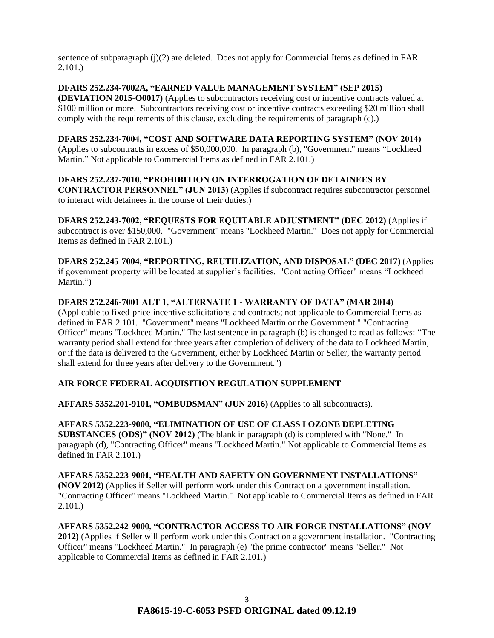sentence of subparagraph (j)(2) are deleted. Does not apply for Commercial Items as defined in FAR 2.101.)

## **DFARS 252.234-7002A, "EARNED VALUE MANAGEMENT SYSTEM" (SEP 2015)**

**(DEVIATION 2015-O0017)** (Applies to subcontractors receiving cost or incentive contracts valued at \$100 million or more. Subcontractors receiving cost or incentive contracts exceeding \$20 million shall comply with the requirements of this clause, excluding the requirements of paragraph (c).)

### **DFARS 252.234-7004, "COST AND SOFTWARE DATA REPORTING SYSTEM" (NOV 2014)**

(Applies to subcontracts in excess of \$50,000,000. In paragraph (b), "Government" means "Lockheed Martin." Not applicable to Commercial Items as defined in FAR 2.101.)

### **DFARS 252.237-7010, "PROHIBITION ON INTERROGATION OF DETAINEES BY CONTRACTOR PERSONNEL" (JUN 2013)** (Applies if subcontract requires subcontractor personnel to interact with detainees in the course of their duties.)

**DFARS 252.243-7002, "REQUESTS FOR EQUITABLE ADJUSTMENT" (DEC 2012)** (Applies if subcontract is over \$150,000. "Government" means "Lockheed Martin." Does not apply for Commercial Items as defined in FAR 2.101.)

**DFARS 252.245-7004, "REPORTING, REUTILIZATION, AND DISPOSAL" (DEC 2017)** (Applies if government property will be located at supplier's facilities. "Contracting Officer" means "Lockheed Martin.")

## **DFARS 252.246-7001 ALT 1, "ALTERNATE 1 - WARRANTY OF DATA" (MAR 2014)**

(Applicable to fixed-price-incentive solicitations and contracts; not applicable to Commercial Items as defined in FAR 2.101. "Government" means "Lockheed Martin or the Government." "Contracting Officer" means "Lockheed Martin." The last sentence in paragraph (b) is changed to read as follows: "The warranty period shall extend for three years after completion of delivery of the data to Lockheed Martin, or if the data is delivered to the Government, either by Lockheed Martin or Seller, the warranty period shall extend for three years after delivery to the Government.")

# **AIR FORCE FEDERAL ACQUISITION REGULATION SUPPLEMENT**

**AFFARS 5352.201-9101, "OMBUDSMAN" (JUN 2016)** (Applies to all subcontracts).

## **AFFARS 5352.223-9000, "ELIMINATION OF USE OF CLASS I OZONE DEPLETING SUBSTANCES (ODS)" (NOV 2012)** (The blank in paragraph (d) is completed with "None." In paragraph (d), "Contracting Officer" means "Lockheed Martin." Not applicable to Commercial Items as defined in FAR 2.101.)

**AFFARS 5352.223-9001, "HEALTH AND SAFETY ON GOVERNMENT INSTALLATIONS" (NOV 2012)** (Applies if Seller will perform work under this Contract on a government installation. "Contracting Officer" means "Lockheed Martin." Not applicable to Commercial Items as defined in FAR 2.101.)

## **AFFARS 5352.242-9000, "CONTRACTOR ACCESS TO AIR FORCE INSTALLATIONS" (NOV 2012)** (Applies if Seller will perform work under this Contract on a government installation. "Contracting Officer" means "Lockheed Martin." In paragraph (e) "the prime contractor" means "Seller." Not applicable to Commercial Items as defined in FAR 2.101.)